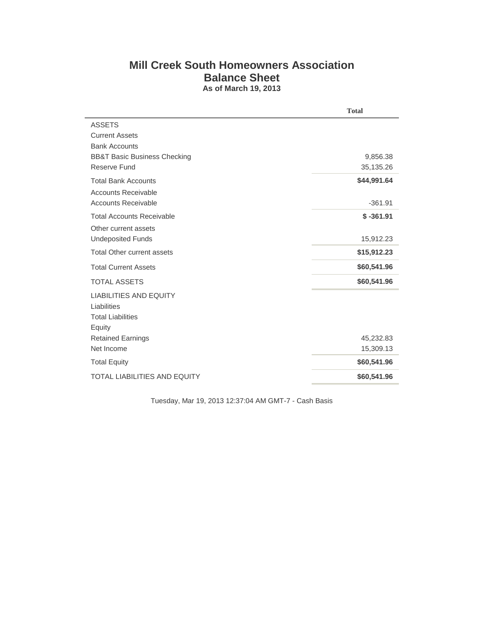## **Mill Creek South Homeowners Association Balance Sheet As of March 19, 2013**

| <b>Total</b> |
|--------------|
|              |
|              |
|              |
| 9,856.38     |
| 35,135.26    |
| \$44,991.64  |
|              |
| $-361.91$    |
| $$ -361.91$  |
|              |
| 15,912.23    |
| \$15,912.23  |
| \$60,541.96  |
| \$60,541.96  |
|              |
|              |
|              |
|              |
| 45,232.83    |
| 15,309.13    |
| \$60,541.96  |
| \$60,541.96  |
|              |

Tuesday, Mar 19, 2013 12:37:04 AM GMT-7 - Cash Basis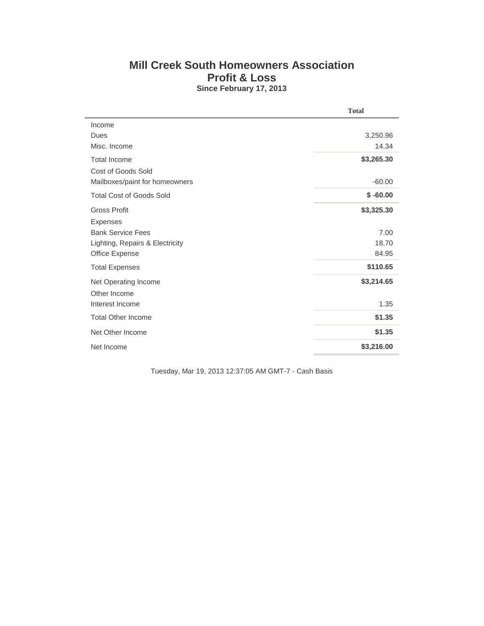## **Mill Creek South Homeowners Association Profit & Loss Since February 17, 2013**

|                                 | <b>Total</b> |
|---------------------------------|--------------|
| Income                          |              |
| Dues                            | 3,250.96     |
| Misc. Income                    | 14.34        |
| <b>Total Income</b>             | \$3,265.30   |
| Cost of Goods Sold              |              |
| Mailboxes/paint for homeowners  | $-60.00$     |
| <b>Total Cost of Goods Sold</b> | $$ -60.00$   |
| <b>Gross Profit</b>             | \$3,325.30   |
| <b>Expenses</b>                 |              |
| <b>Bank Service Fees</b>        | 7.00         |
| Lighting, Repairs & Electricity | 18.70        |
| Office Expense                  | 84.95        |
| <b>Total Expenses</b>           | \$110.65     |
| Net Operating Income            | \$3,214.65   |
| Other Income                    |              |
| Interest Income                 | 1.35         |
| <b>Total Other Income</b>       | \$1.35       |
| Net Other Income                | \$1.35       |
| Net Income                      | \$3,216.00   |

Tuesday, Mar 19, 2013 12:37:05 AM GMT-7 - Cash Basis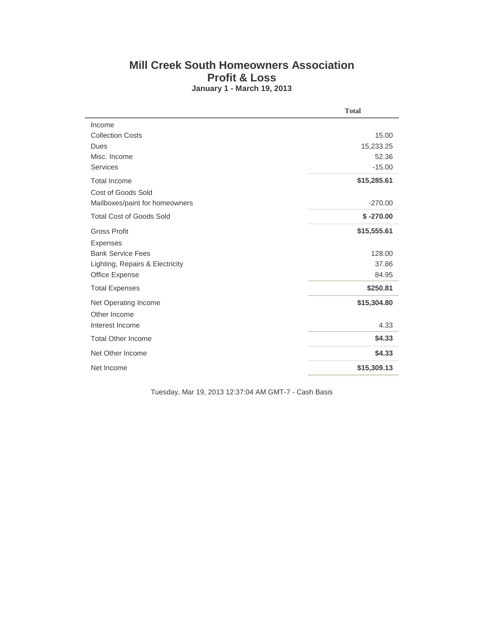## **Mill Creek South Homeowners Association Profit & Loss January 1 - March 19, 2013**

|                                 | <b>Total</b> |
|---------------------------------|--------------|
| Income                          |              |
| <b>Collection Costs</b>         | 15.00        |
| Dues                            | 15,233.25    |
| Misc. Income                    | 52.36        |
| Services                        | $-15.00$     |
| <b>Total Income</b>             | \$15,285.61  |
| <b>Cost of Goods Sold</b>       |              |
| Mailboxes/paint for homeowners  | $-270.00$    |
| <b>Total Cost of Goods Sold</b> | $$ -270.00$  |
| <b>Gross Profit</b>             | \$15,555.61  |
| <b>Expenses</b>                 |              |
| <b>Bank Service Fees</b>        | 128.00       |
| Lighting, Repairs & Electricity | 37.86        |
| Office Expense                  | 84.95        |
| <b>Total Expenses</b>           | \$250.81     |
| Net Operating Income            | \$15,304.80  |
| Other Income                    |              |
| Interest Income                 | 4.33         |
| <b>Total Other Income</b>       | \$4.33       |
| Net Other Income                | \$4.33       |
| Net Income                      | \$15,309.13  |

Tuesday, Mar 19, 2013 12:37:04 AM GMT-7 - Cash Basis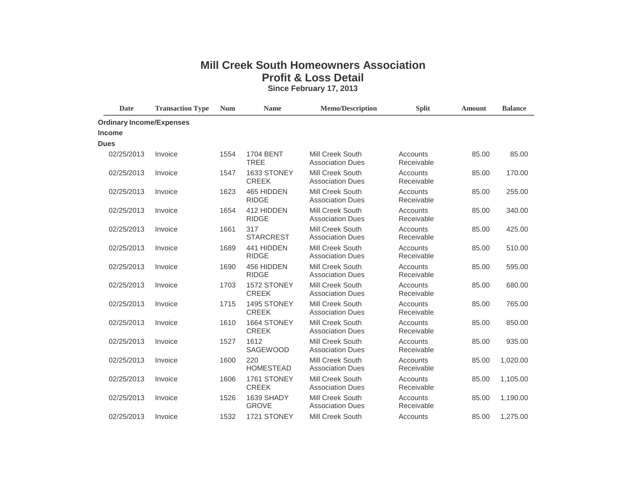## **Mill Creek South Homeowners Association Profit & Loss Detail**

**Since February 17, 2013**

| <b>Date</b>                     | <b>Transaction Type</b> | $\mathbf{Num}$ | <b>Name</b>                     | <b>Memo/Description</b>                            | <b>Split</b>           | <b>Amount</b> | <b>Balance</b> |
|---------------------------------|-------------------------|----------------|---------------------------------|----------------------------------------------------|------------------------|---------------|----------------|
| <b>Ordinary Income/Expenses</b> |                         |                |                                 |                                                    |                        |               |                |
| <b>Income</b>                   |                         |                |                                 |                                                    |                        |               |                |
| <b>Dues</b>                     |                         |                |                                 |                                                    |                        |               |                |
| 02/25/2013                      | Invoice                 | 1554           | <b>1704 BENT</b><br><b>TREE</b> | <b>Mill Creek South</b><br><b>Association Dues</b> | Accounts<br>Receivable | 85.00         | 85.00          |
| 02/25/2013                      | Invoice                 | 1547           | 1633 STONEY<br><b>CREEK</b>     | Mill Creek South<br><b>Association Dues</b>        | Accounts<br>Receivable | 85.00         | 170.00         |
| 02/25/2013                      | Invoice                 | 1623           | 465 HIDDEN<br><b>RIDGE</b>      | Mill Creek South<br><b>Association Dues</b>        | Accounts<br>Receivable | 85.00         | 255.00         |
| 02/25/2013                      | Invoice                 | 1654           | 412 HIDDEN<br><b>RIDGE</b>      | Mill Creek South<br><b>Association Dues</b>        | Accounts<br>Receivable | 85.00         | 340.00         |
| 02/25/2013                      | Invoice                 | 1661           | 317<br><b>STARCREST</b>         | Mill Creek South<br><b>Association Dues</b>        | Accounts<br>Receivable | 85.00         | 425.00         |
| 02/25/2013                      | Invoice                 | 1689           | 441 HIDDEN<br><b>RIDGE</b>      | <b>Mill Creek South</b><br><b>Association Dues</b> | Accounts<br>Receivable | 85.00         | 510.00         |
| 02/25/2013                      | Invoice                 | 1690           | 456 HIDDEN<br><b>RIDGE</b>      | <b>Mill Creek South</b><br><b>Association Dues</b> | Accounts<br>Receivable | 85.00         | 595.00         |
| 02/25/2013                      | Invoice                 | 1703           | 1572 STONEY<br><b>CREEK</b>     | Mill Creek South<br><b>Association Dues</b>        | Accounts<br>Receivable | 85.00         | 680.00         |
| 02/25/2013                      | Invoice                 | 1715           | 1495 STONEY<br><b>CREEK</b>     | Mill Creek South<br><b>Association Dues</b>        | Accounts<br>Receivable | 85.00         | 765.00         |
| 02/25/2013                      | Invoice                 | 1610           | 1664 STONEY<br><b>CREEK</b>     | Mill Creek South<br><b>Association Dues</b>        | Accounts<br>Receivable | 85.00         | 850.00         |
| 02/25/2013                      | Invoice                 | 1527           | 1612<br>SAGEWOOD                | Mill Creek South<br><b>Association Dues</b>        | Accounts<br>Receivable | 85.00         | 935.00         |
| 02/25/2013                      | Invoice                 | 1600           | 220<br><b>HOMESTEAD</b>         | Mill Creek South<br><b>Association Dues</b>        | Accounts<br>Receivable | 85.00         | 1,020.00       |
| 02/25/2013                      | Invoice                 | 1606           | 1761 STONEY<br><b>CREEK</b>     | Mill Creek South<br><b>Association Dues</b>        | Accounts<br>Receivable | 85.00         | 1,105.00       |
| 02/25/2013                      | Invoice                 | 1526           | 1639 SHADY<br><b>GROVE</b>      | <b>Mill Creek South</b><br><b>Association Dues</b> | Accounts<br>Receivable | 85.00         | 1,190.00       |
| 02/25/2013                      | Invoice                 | 1532           | 1721 STONEY                     | Mill Creek South                                   | Accounts               | 85.00         | 1,275.00       |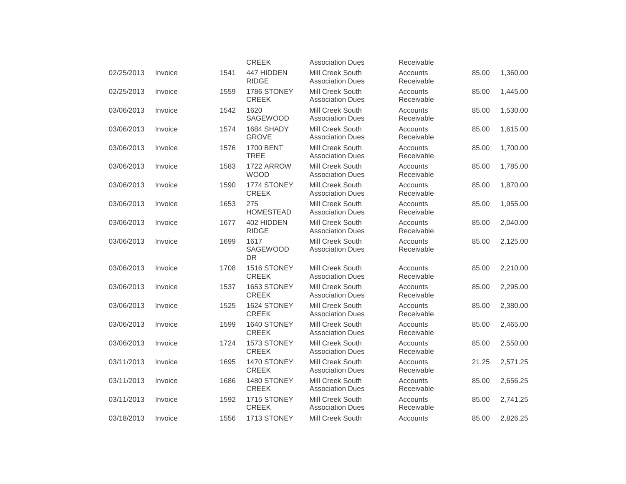|            |         |      | <b>CREEK</b>                    | <b>Association Dues</b>                            | Receivable             |       |          |
|------------|---------|------|---------------------------------|----------------------------------------------------|------------------------|-------|----------|
| 02/25/2013 | Invoice | 1541 | 447 HIDDEN<br><b>RIDGE</b>      | <b>Mill Creek South</b><br><b>Association Dues</b> | Accounts<br>Receivable | 85.00 | 1,360.00 |
| 02/25/2013 | Invoice | 1559 | 1786 STONEY<br><b>CREEK</b>     | Mill Creek South<br><b>Association Dues</b>        | Accounts<br>Receivable | 85.00 | 1,445.00 |
| 03/06/2013 | Invoice | 1542 | 1620<br><b>SAGEWOOD</b>         | Mill Creek South<br><b>Association Dues</b>        | Accounts<br>Receivable | 85.00 | 1,530.00 |
| 03/06/2013 | Invoice | 1574 | 1684 SHADY<br><b>GROVE</b>      | <b>Mill Creek South</b><br><b>Association Dues</b> | Accounts<br>Receivable | 85.00 | 1,615.00 |
| 03/06/2013 | Invoice | 1576 | <b>1700 BENT</b><br><b>TREE</b> | Mill Creek South<br><b>Association Dues</b>        | Accounts<br>Receivable | 85.00 | 1,700.00 |
| 03/06/2013 | Invoice | 1583 | 1722 ARROW<br><b>WOOD</b>       | <b>Mill Creek South</b><br><b>Association Dues</b> | Accounts<br>Receivable | 85.00 | 1,785.00 |
| 03/06/2013 | Invoice | 1590 | 1774 STONEY<br><b>CREEK</b>     | Mill Creek South<br><b>Association Dues</b>        | Accounts<br>Receivable | 85.00 | 1,870.00 |
| 03/06/2013 | Invoice | 1653 | 275<br><b>HOMESTEAD</b>         | Mill Creek South<br><b>Association Dues</b>        | Accounts<br>Receivable | 85.00 | 1,955.00 |
| 03/06/2013 | Invoice | 1677 | 402 HIDDEN<br><b>RIDGE</b>      | <b>Mill Creek South</b><br><b>Association Dues</b> | Accounts<br>Receivable | 85.00 | 2,040.00 |
| 03/06/2013 | Invoice | 1699 | 1617<br>SAGEWOOD<br><b>DR</b>   | Mill Creek South<br><b>Association Dues</b>        | Accounts<br>Receivable | 85.00 | 2,125.00 |
| 03/06/2013 | Invoice | 1708 | 1516 STONEY<br><b>CREEK</b>     | <b>Mill Creek South</b><br><b>Association Dues</b> | Accounts<br>Receivable | 85.00 | 2,210.00 |
| 03/06/2013 | Invoice | 1537 | 1653 STONEY<br><b>CREEK</b>     | Mill Creek South<br><b>Association Dues</b>        | Accounts<br>Receivable | 85.00 | 2,295.00 |
| 03/06/2013 | Invoice | 1525 | 1624 STONEY<br><b>CREEK</b>     | Mill Creek South<br><b>Association Dues</b>        | Accounts<br>Receivable | 85.00 | 2,380.00 |
| 03/06/2013 | Invoice | 1599 | 1640 STONEY<br><b>CREEK</b>     | <b>Mill Creek South</b><br><b>Association Dues</b> | Accounts<br>Receivable | 85.00 | 2,465.00 |
| 03/06/2013 | Invoice | 1724 | 1573 STONEY<br><b>CREEK</b>     | Mill Creek South<br><b>Association Dues</b>        | Accounts<br>Receivable | 85.00 | 2,550.00 |
| 03/11/2013 | Invoice | 1695 | 1470 STONEY<br><b>CREEK</b>     | Mill Creek South<br><b>Association Dues</b>        | Accounts<br>Receivable | 21.25 | 2,571.25 |
| 03/11/2013 | Invoice | 1686 | 1480 STONEY<br><b>CREEK</b>     | <b>Mill Creek South</b><br><b>Association Dues</b> | Accounts<br>Receivable | 85.00 | 2,656.25 |
| 03/11/2013 | Invoice | 1592 | 1715 STONEY<br><b>CREEK</b>     | Mill Creek South<br><b>Association Dues</b>        | Accounts<br>Receivable | 85.00 | 2,741.25 |
| 03/18/2013 | Invoice | 1556 | 1713 STONEY                     | Mill Creek South                                   | Accounts               | 85.00 | 2,826.25 |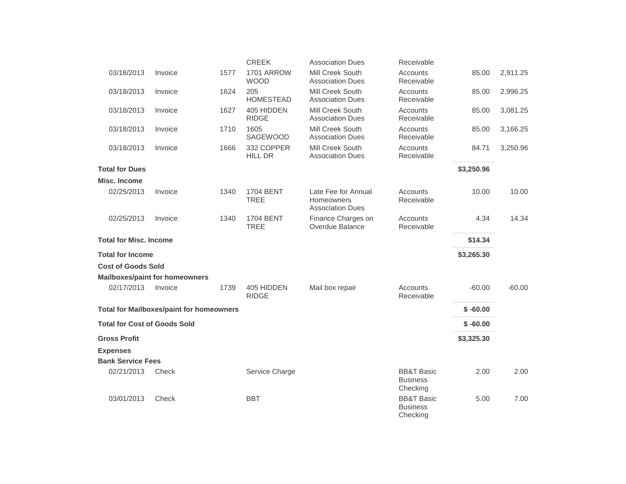|                                     |                                                 |      | <b>CREEK</b>                    | <b>Association Dues</b>                                             | Receivable                                           |            |          |
|-------------------------------------|-------------------------------------------------|------|---------------------------------|---------------------------------------------------------------------|------------------------------------------------------|------------|----------|
| 03/18/2013                          | Invoice                                         | 1577 | 1701 ARROW<br><b>WOOD</b>       | Mill Creek South<br><b>Association Dues</b>                         | Accounts<br>Receivable                               | 85.00      | 2,911.25 |
| 03/18/2013                          | Invoice                                         | 1624 | 205<br><b>HOMESTEAD</b>         | <b>Mill Creek South</b><br><b>Association Dues</b>                  | Accounts<br>Receivable                               | 85.00      | 2,996.25 |
| 03/18/2013                          | Invoice                                         | 1627 | 405 HIDDEN<br><b>RIDGE</b>      | Mill Creek South<br><b>Association Dues</b>                         | Accounts<br>Receivable                               | 85.00      | 3,081.25 |
| 03/18/2013                          | Invoice                                         | 1710 | 1605<br><b>SAGEWOOD</b>         | Mill Creek South<br><b>Association Dues</b>                         | Accounts<br>Receivable                               | 85.00      | 3,166.25 |
| 03/18/2013                          | Invoice                                         | 1666 | 332 COPPER<br><b>HILL DR</b>    | <b>Mill Creek South</b><br><b>Association Dues</b>                  | Accounts<br>Receivable                               | 84.71      | 3,250.96 |
| <b>Total for Dues</b>               |                                                 |      |                                 |                                                                     |                                                      | \$3,250.96 |          |
| Misc. Income                        |                                                 |      |                                 |                                                                     |                                                      |            |          |
| 02/25/2013                          | Invoice                                         | 1340 | <b>1704 BENT</b><br><b>TREE</b> | Late Fee for Annual<br><b>Homeowners</b><br><b>Association Dues</b> | Accounts<br>Receivable                               | 10.00      | 10.00    |
| 02/25/2013                          | Invoice                                         | 1340 | <b>1704 BENT</b><br><b>TREE</b> | Finance Charges on<br>Overdue Balance                               | Accounts<br>Receivable                               | 4.34       | 14.34    |
| <b>Total for Misc. Income</b>       |                                                 |      |                                 |                                                                     |                                                      | \$14.34    |          |
| <b>Total for Income</b>             |                                                 |      |                                 |                                                                     |                                                      | \$3,265.30 |          |
| <b>Cost of Goods Sold</b>           |                                                 |      |                                 |                                                                     |                                                      |            |          |
|                                     | <b>Mailboxes/paint for homeowners</b>           |      |                                 |                                                                     |                                                      |            |          |
| 02/17/2013                          | Invoice                                         | 1739 | 405 HIDDEN<br><b>RIDGE</b>      | Mail box repair                                                     | Accounts<br>Receivable                               | $-60.00$   | $-60.00$ |
|                                     | <b>Total for Mailboxes/paint for homeowners</b> |      |                                 |                                                                     |                                                      | $$ -60.00$ |          |
| <b>Total for Cost of Goods Sold</b> |                                                 |      |                                 |                                                                     |                                                      | $$ -60.00$ |          |
| <b>Gross Profit</b>                 |                                                 |      |                                 |                                                                     |                                                      | \$3,325.30 |          |
| <b>Expenses</b>                     |                                                 |      |                                 |                                                                     |                                                      |            |          |
| <b>Bank Service Fees</b>            |                                                 |      |                                 |                                                                     |                                                      |            |          |
| 02/21/2013                          | Check                                           |      | Service Charge                  |                                                                     | <b>BB&amp;T Basic</b><br><b>Business</b><br>Checking | 2.00       | 2.00     |
| 03/01/2013                          | Check                                           |      | <b>BBT</b>                      |                                                                     | <b>BB&amp;T Basic</b><br><b>Business</b><br>Checking | 5.00       | 7.00     |
|                                     |                                                 |      |                                 |                                                                     |                                                      |            |          |